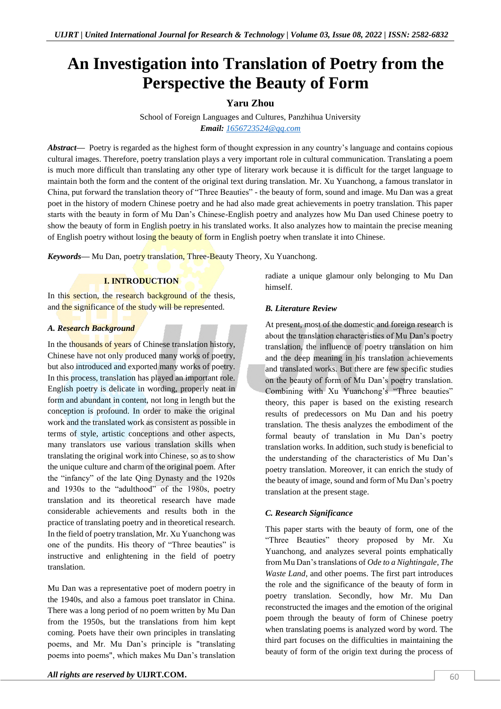# **An Investigation into Translation of Poetry from the Perspective the Beauty of Form**

# **Yaru Zhou**

School of Foreign Languages and Cultures, Panzhihua University *Email: [1656723524@qq.com](mailto:1656723524@qq.com)*

*Abstract—* Poetry is regarded as the highest form of thought expression in any country's language and contains copious cultural images. Therefore, poetry translation plays a very important role in cultural communication. Translating a poem is much more difficult than translating any other type of literary work because it is difficult for the target language to maintain both the form and the content of the original text during translation. Mr. Xu Yuanchong, a famous translator in China, put forward the translation theory of "Three Beauties" - the beauty of form, sound and image. Mu Dan was a great poet in the history of modern Chinese poetry and he had also made great achievements in poetry translation. This paper starts with the beauty in form of Mu Dan's Chinese-English poetry and analyzes how Mu Dan used Chinese poetry to show the beauty of form in English poetry in his translated works. It also analyzes how to maintain the precise meaning of English poetry without losing the beauty of form in English poetry when translate it into Chinese.

*Keywords*— Mu Dan, poetry translation, Three-Beauty Theory, Xu Yuanchong.

# **I. INTRODUCTION**

In this section, the research background of the thesis, and the significance of the study will be represented.

# *A. Research Background*

In the thousands of years of Chinese translation history, Chinese have not only produced many works of poetry, but also introduced and exported many works of poetry. In this process, translation has played an important role. English poetry is delicate in wording, properly neat in form and abundant in content, not long in length but the conception is profound. In order to make the original work and the translated work as consistent as possible in terms of style, artistic conceptions and other aspects, many translators use various translation skills when translating the original work into Chinese, so as to show the unique culture and charm of the original poem. After the "infancy" of the late Qing Dynasty and the 1920s and 1930s to the "adulthood" of the 1980s, poetry translation and its theoretical research have made considerable achievements and results both in the practice of translating poetry and in theoretical research. In the field of poetry translation, Mr. Xu Yuanchong was one of the pundits. His theory of "Three beauties" is instructive and enlightening in the field of poetry translation.

Mu Dan was a representative poet of modern poetry in the 1940s, and also a famous poet translator in China. There was a long period of no poem written by Mu Dan from the 1950s, but the translations from him kept coming. Poets have their own principles in translating poems, and Mr. Mu Dan's principle is "translating poems into poems", which makes Mu Dan's translation

radiate a unique glamour only belonging to Mu Dan himself.

# *B. Literature Review*

At present, most of the domestic and foreign research is about the translation characteristics of Mu Dan's poetry translation, the influence of poetry translation on him and the deep meaning in his translation achievements and translated works. But there are few specific studies on the beauty of form of Mu Dan's poetry translation. Combining with Xu Yuanchong's "Three beauties" theory, this paper is based on the existing research results of predecessors on Mu Dan and his poetry translation. The thesis analyzes the embodiment of the formal beauty of translation in Mu Dan's poetry translation works. In addition, such study is beneficial to the understanding of the characteristics of Mu Dan's poetry translation. Moreover, it can enrich the study of the beauty of image, sound and form of Mu Dan's poetry translation at the present stage.

## *C. Research Significance*

This paper starts with the beauty of form, one of the "Three Beauties" theory proposed by Mr. Xu Yuanchong, and analyzes several points emphatically from Mu Dan's translations of *Ode to a Nightingale*, *The Waste Land*, and other poems. The first part introduces the role and the significance of the beauty of form in poetry translation. Secondly, how Mr. Mu Dan reconstructed the images and the emotion of the original poem through the beauty of form of Chinese poetry when translating poems is analyzed word by word. The third part focuses on the difficulties in maintaining the beauty of form of the origin text during the process of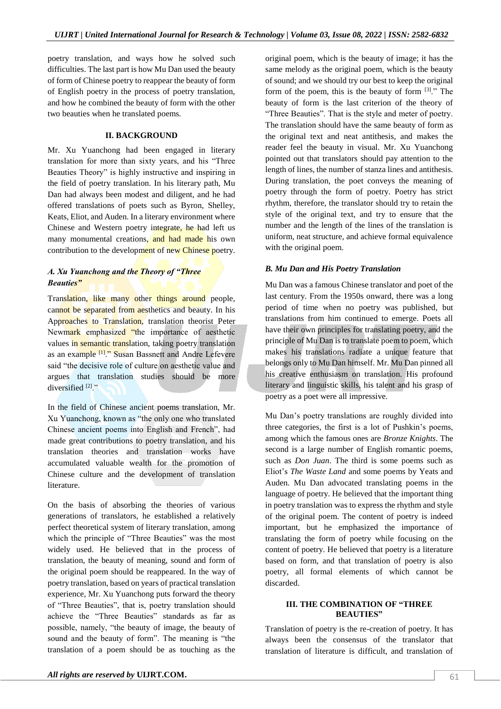poetry translation, and ways how he solved such difficulties. The last part is how Mu Dan used the beauty of form of Chinese poetry to reappear the beauty of form of English poetry in the process of poetry translation, and how he combined the beauty of form with the other two beauties when he translated poems.

#### **II. BACKGROUND**

Mr. Xu Yuanchong had been engaged in literary translation for more than sixty years, and his "Three Beauties Theory" is highly instructive and inspiring in the field of poetry translation. In his literary path, Mu Dan had always been modest and diligent, and he had offered translations of poets such as Byron, Shelley, Keats, Eliot, and Auden. In a literary environment where Chinese and Western poetry integrate, he had left us many monumental creations, and had made his own contribution to the development of new Chinese poetry.

## *A. Xu Yuanchong and the Theory of "Three Beauties"*

Translation, like many other things around people, cannot be separated from aesthetics and beauty. In his Approaches to Translation, translation theorist Peter Newmark emphasized "the importance of aesthetic values in semantic translation, taking poetry translation as an example [1]." Susan Bassnett and Andre Lefevere said "the decisive role of culture on aesthetic value and argues that translation studies should be more diversified [2]."

In the field of Chinese ancient poems translation, Mr. Xu Yuanchong, known as "the only one who translated Chinese ancient poems into English and French", had made great contributions to poetry translation, and his translation theories and translation works have accumulated valuable wealth for the promotion of Chinese culture and the development of translation literature.

On the basis of absorbing the theories of various generations of translators, he established a relatively perfect theoretical system of literary translation, among which the principle of "Three Beauties" was the most widely used. He believed that in the process of translation, the beauty of meaning, sound and form of the original poem should be reappeared. In the way of poetry translation, based on years of practical translation experience, Mr. Xu Yuanchong puts forward the theory of "Three Beauties", that is, poetry translation should achieve the "Three Beauties" standards as far as possible, namely, "the beauty of image, the beauty of sound and the beauty of form". The meaning is "the translation of a poem should be as touching as the

original poem, which is the beauty of image; it has the same melody as the original poem, which is the beauty of sound; and we should try our best to keep the original form of the poem, this is the beauty of form  $[3]$ ." The beauty of form is the last criterion of the theory of "Three Beauties". That is the style and meter of poetry. The translation should have the same beauty of form as the original text and neat antithesis, and makes the reader feel the beauty in visual. Mr. Xu Yuanchong pointed out that translators should pay attention to the length of lines, the number of stanza lines and antithesis. During translation, the poet conveys the meaning of poetry through the form of poetry. Poetry has strict rhythm, therefore, the translator should try to retain the style of the original text, and try to ensure that the number and the length of the lines of the translation is uniform, neat structure, and achieve formal equivalence with the original poem.

## *B. Mu Dan and His Poetry Translation*

Mu Dan was a famous Chinese translator and poet of the last century. From the 1950s onward, there was a long period of time when no poetry was published, but translations from him continued to emerge. Poets all have their own principles for translating poetry, and the principle of Mu Dan is to translate poem to poem, which makes his translations radiate a unique feature that belongs only to Mu Dan himself. Mr. Mu Dan pinned all his creative enthusiasm on translation. His profound literary and linguistic skills, his talent and his grasp of poetry as a poet were all impressive.

Mu Dan's poetry translations are roughly divided into three categories, the first is a lot of Pushkin's poems, among which the famous ones are *Bronze Knights*. The second is a large number of English romantic poems, such as *Don Juan*. The third is some poems such as Eliot's *The Waste Land* and some poems by Yeats and Auden. Mu Dan advocated translating poems in the language of poetry. He believed that the important thing in poetry translation was to express the rhythm and style of the original poem. The content of poetry is indeed important, but he emphasized the importance of translating the form of poetry while focusing on the content of poetry. He believed that poetry is a literature based on form, and that translation of poetry is also poetry, all formal elements of which cannot be discarded.

#### **III. THE COMBINATION OF "THREE BEAUTIES"**

Translation of poetry is the re-creation of poetry. It has always been the consensus of the translator that translation of literature is difficult, and translation of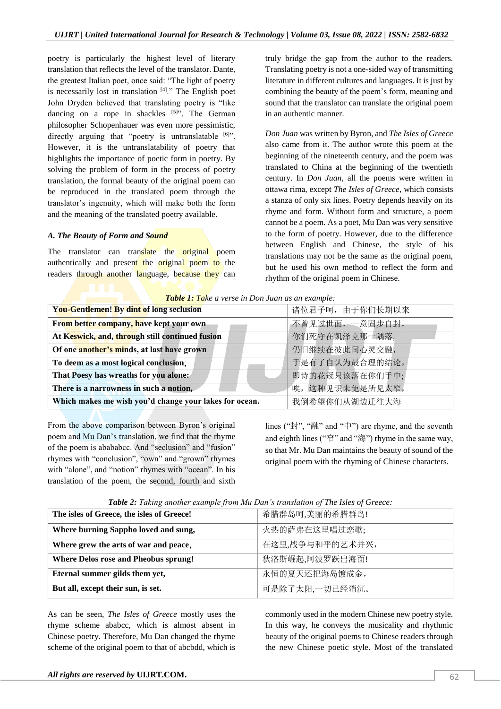poetry is particularly the highest level of literary translation that reflects the level of the translator. Dante, the greatest Italian poet, once said: "The light of poetry is necessarily lost in translation  $[4]$ ." The English poet John Dryden believed that translating poetry is "like dancing on a rope in shackles  $[5]$ ". The German philosopher Schopenhauer was even more pessimistic, directly arguing that "poetry is untranslatable  $[6]$ ". However, it is the untranslatability of poetry that highlights the importance of poetic form in poetry. By solving the problem of form in the process of poetry translation, the formal beauty of the original poem can be reproduced in the translated poem through the translator's ingenuity, which will make both the form and the meaning of the translated poetry available.

# *A. The Beauty of Form and Sound*

The translator can translate the original poem authentically and present the original poem to the readers through another language, because they can

truly bridge the gap from the author to the readers. Translating poetry is not a one-sided way of transmitting literature in different cultures and languages. It is just by combining the beauty of the poem's form, meaning and sound that the translator can translate the original poem in an authentic manner.

*Don Juan* was written by Byron, and *The Isles of Greece* also came from it. The author wrote this poem at the beginning of the nineteenth century, and the poem was translated to China at the beginning of the twentieth century. In *Don Juan*, all the poems were written in ottawa rima, except *The Isles of Greece*, which consists a stanza of only six lines. Poetry depends heavily on its rhyme and form. Without form and structure, a poem cannot be a poem. As a poet, Mu Dan was very sensitive to the form of poetry. However, due to the difference between English and Chinese, the style of his translations may not be the same as the original poem, but he used his own method to reflect the form and rhythm of the original poem in Chinese.

*Table 1: Take a verse in Don Juan as an example:*

| You-Gentlemen! By dint of long seclusion               | 诸位君子呵, 由于你们长期以来 |  |
|--------------------------------------------------------|-----------------|--|
| From better company, have kept your own                | 不曾见过世面, 一意固步自封, |  |
| At Keswick, and, through still continued fusion        | 你们死守在凯泽克那一隅落,   |  |
| Of one another's minds, at last have grown             | 仍旧继续在彼此间心灵交融,   |  |
| To deem as a most logical conclusion,                  | 于是有了自认为最合理的结论,  |  |
| That Poesy has wreaths for you alone.                  | 即诗的花冠只该落在你们手中;  |  |
| There is a narrowness in such a notion,                | 唉,这种见识未免是所见太窄,  |  |
| Which makes me wish you'd change your lakes for ocean. | 我倒希望你们从湖边迁往大海   |  |

From the above comparison between Byron's original poem and Mu Dan's translation, we find that the rhyme of the poem is abababcc. And "seclusion" and "fusion" rhymes with "conclusion", "own" and "grown" rhymes with "alone", and "notion" rhymes with "ocean". In his translation of the poem, the second, fourth and sixth lines ("封", "融" and "中") are rhyme, and the seventh and eighth lines ("窄" and "海") rhyme in the same way, so that Mr. Mu Dan maintains the beauty of sound of the original poem with the rhyming of Chinese characters.

| The isles of Greece, the isles of Greece! | 希腊群岛呵,美丽的希腊群岛!  |
|-------------------------------------------|-----------------|
| Where burning Sappho loved and sung,      | 火热的萨弗在这里唱过恋歌;   |
| Where grew the arts of war and peace,     | 在这里,战争与和平的艺术并兴, |
| Where Delos rose and Pheobus sprung!      | 狄洛斯崛起,阿波罗跃出海面!  |
| Eternal summer gilds them yet,            | 永恒的夏天还把海岛镀成金,   |
| But all, except their sun, is set.        | 可是除了太阳,一切已经消沉。  |

**Table 2:** *Taking another example from Mu Dan's translation of The Isles of Greece:* 

As can be seen, *The Isles of Greece* mostly uses the rhyme scheme ababcc, which is almost absent in Chinese poetry. Therefore, Mu Dan changed the rhyme scheme of the original poem to that of abcbdd, which is

commonly used in the modern Chinese new poetry style. In this way, he conveys the musicality and rhythmic beauty of the original poems to Chinese readers through the new Chinese poetic style. Most of the translated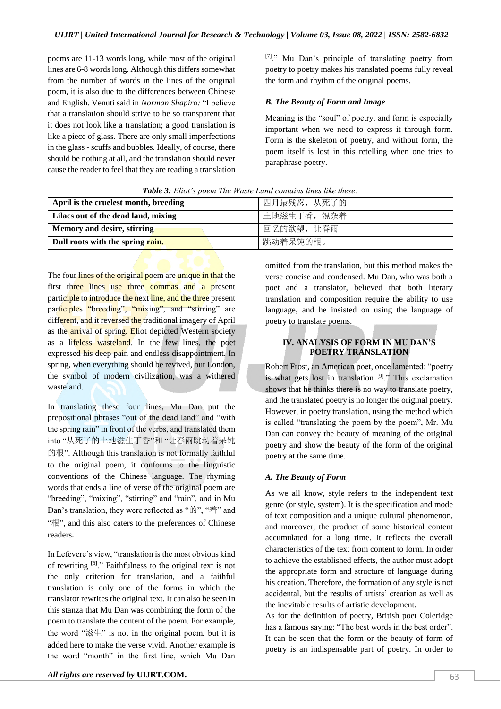poems are 11-13 words long, while most of the original lines are 6-8 words long. Although this differs somewhat from the number of words in the lines of the original poem, it is also due to the differences between Chinese and English. Venuti said in *Norman Shapiro:* "I believe that a translation should strive to be so transparent that it does not look like a translation; a good translation is like a piece of glass. There are only small imperfections in the glass - scuffs and bubbles. Ideally, of course, there should be nothing at all, and the translation should never cause the reader to feel that they are reading a translation [7]." Mu Dan's principle of translating poetry from poetry to poetry makes his translated poems fully reveal the form and rhythm of the original poems.

#### *B. The Beauty of Form and Image*

Meaning is the "soul" of poetry, and form is especially important when we need to express it through form. Form is the skeleton of poetry, and without form, the poem itself is lost in this retelling when one tries to paraphrase poetry.

| April is the cruelest month, breeding | 四月最残忍, 从死了的 |
|---------------------------------------|-------------|
| Lilacs out of the dead land, mixing   | 土地滋生丁香, 混杂着 |
| Memory and desire, stirring           | 回忆的欲望, 让春雨  |
| Dull roots with the spring rain.      | 跳动着呆钝的根。    |

*Table 3: Eliot's poem The Waste Land contains lines like these:*

The four lines of the original poem are unique in that the first three lines use three commas and a present participle to introduce the next line, and the three present participles "breeding", "mixing", and "stirring" are different, and it reversed the traditional imagery of April as the arrival of spring. Eliot depicted Western society as a lifeless wasteland. In the few lines, the poet expressed his deep pain and endless disappointment. In spring, when everything should be revived, but London, the symbol of modern civilization, was a withered wasteland.

In translating these four *lines*, Mu Dan put the prepositional phrases "out of the dead land" and "with the spring rain" in front of the verbs, and translated them into "从死了的土地滋生丁香"和 "让春雨跳动着呆钝 的根". Although this translation is not formally faithful to the original poem, it conforms to the linguistic conventions of the Chinese language. The rhyming words that ends a line of verse of the original poem are "breeding", "mixing", "stirring" and "rain", and in Mu Dan's translation, they were reflected as "的", "着" and "根", and this also caters to the preferences of Chinese readers.

In Lefevere's view, "translation is the most obvious kind of rewriting [8]." Faithfulness to the original text is not the only criterion for translation, and a faithful translation is only one of the forms in which the translator rewrites the original text. It can also be seen in this stanza that Mu Dan was combining the form of the poem to translate the content of the poem. For example, the word "滋生" is not in the original poem, but it is added here to make the verse vivid. Another example is the word "month" in the first line, which Mu Dan

omitted from the translation, but this method makes the verse concise and condensed. Mu Dan, who was both a poet and a translator, believed that both literary translation and composition require the ability to use language, and he insisted on using the language of poetry to translate poems.

# **IV. ANALYSIS OF FORM IN MU DAN'S POETRY TRANSLATION**

Robert Frost, an American poet, once lamented: "poetry is what gets lost in translation  $[9]$ ." This exclamation shows that he thinks there is no way to translate poetry, and the translated poetry is no longer the original poetry. However, in poetry translation, using the method which is called "translating the poem by the poem", Mr. Mu Dan can convey the beauty of meaning of the original poetry and show the beauty of the form of the original poetry at the same time.

#### *A. The Beauty of Form*

As we all know, style refers to the independent text genre (or style, system). It is the specification and mode of text composition and a unique cultural phenomenon, and moreover, the product of some historical content accumulated for a long time. It reflects the overall characteristics of the text from content to form. In order to achieve the established effects, the author must adopt the appropriate form and structure of language during his creation. Therefore, the formation of any style is not accidental, but the results of artists' creation as well as the inevitable results of artistic development.

As for the definition of poetry, British poet Coleridge has a famous saying: "The best words in the best order". It can be seen that the form or the beauty of form of poetry is an indispensable part of poetry. In order to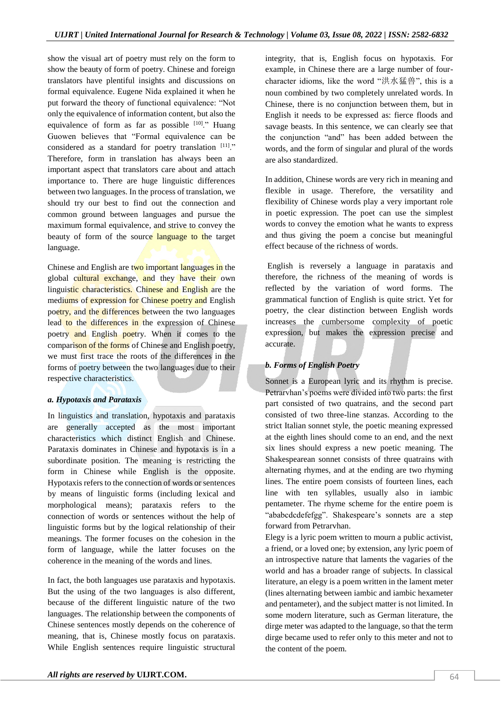show the visual art of poetry must rely on the form to show the beauty of form of poetry. Chinese and foreign translators have plentiful insights and discussions on formal equivalence. Eugene Nida explained it when he put forward the theory of functional equivalence: "Not only the equivalence of information content, but also the equivalence of form as far as possible  $[10]$ ." Huang Guowen believes that "Formal equivalence can be considered as a standard for poetry translation [11]." Therefore, form in translation has always been an important aspect that translators care about and attach importance to. There are huge linguistic differences between two languages. In the process of translation, we should try our best to find out the connection and common ground between languages and pursue the maximum formal equivalence, and strive to convey the beauty of form of the source language to the target language.

Chinese and English are two important languages in the global cultural exchange, and they have their own linguistic characteristics. Chinese and English are the mediums of expression for Chinese poetry and English poetry, and the differences between the two languages lead to the differences in the expression of Chinese poetry and English poetry. When it comes to the comparison of the forms of Chinese and English poetry, we must first trace the roots of the differences in the forms of poetry between the two languages due to their respective characteristics.

# *a. Hypotaxis and Parataxis*

In linguistics and translation, hypotaxis and parataxis are generally accepted as the most important characteristics which distinct English and Chinese. Parataxis dominates in Chinese and hypotaxis is in a subordinate position. The meaning is restricting the form in Chinese while English is the opposite. Hypotaxis refers to the connection of words or sentences by means of linguistic forms (including lexical and morphological means); parataxis refers to the connection of words or sentences without the help of linguistic forms but by the logical relationship of their meanings. The former focuses on the cohesion in the form of language, while the latter focuses on the coherence in the meaning of the words and lines.

In fact, the both languages use parataxis and hypotaxis. But the using of the two languages is also different, because of the different linguistic nature of the two languages. The relationship between the components of Chinese sentences mostly depends on the coherence of meaning, that is, Chinese mostly focus on parataxis. While English sentences require linguistic structural

integrity, that is, English focus on hypotaxis. For example, in Chinese there are a large number of fourcharacter idioms, like the word "洪水猛兽", this is a noun combined by two completely unrelated words. In Chinese, there is no conjunction between them, but in English it needs to be expressed as: fierce floods and savage beasts. In this sentence, we can clearly see that the conjunction "and" has been added between the words, and the form of singular and plural of the words are also standardized.

In addition, Chinese words are very rich in meaning and flexible in usage. Therefore, the versatility and flexibility of Chinese words play a very important role in poetic expression. The poet can use the simplest words to convey the emotion what he wants to express and thus giving the poem a concise but meaningful effect because of the richness of words.

English is reversely a language in parataxis and therefore, the richness of the meaning of words is reflected by the variation of word forms. The grammatical function of English is quite strict. Yet for poetry, the clear distinction between English words increases the cumbersome complexity of poetic expression, but makes the expression precise and accurate.

# *b. Forms of English Poetry*

Sonnet is a European lyric and its rhythm is precise. Petrarvhan's poems were divided into two parts: the first part consisted of two quatrains, and the second part consisted of two three-line stanzas. According to the strict Italian sonnet style, the poetic meaning expressed at the eighth lines should come to an end, and the next six lines should express a new poetic meaning. The Shakespearean sonnet consists of three quatrains with alternating rhymes, and at the ending are two rhyming lines. The entire poem consists of fourteen lines, each line with ten syllables, usually also in iambic pentameter. The rhyme scheme for the entire poem is "ababcdcdefefgg". Shakespeare's sonnets are a step forward from Petrarvhan.

Elegy is a lyric poem written to mourn a public activist, a friend, or a loved one; by extension, any lyric poem of an introspective nature that laments the vagaries of the world and has a broader range of subjects. In classical literature, an elegy is a poem written in the lament meter (lines alternating between iambic and iambic hexameter and pentameter), and the subject matter is not limited. In some modern literature, such as German literature, the dirge meter was adapted to the language, so that the term dirge became used to refer only to this meter and not to the content of the poem.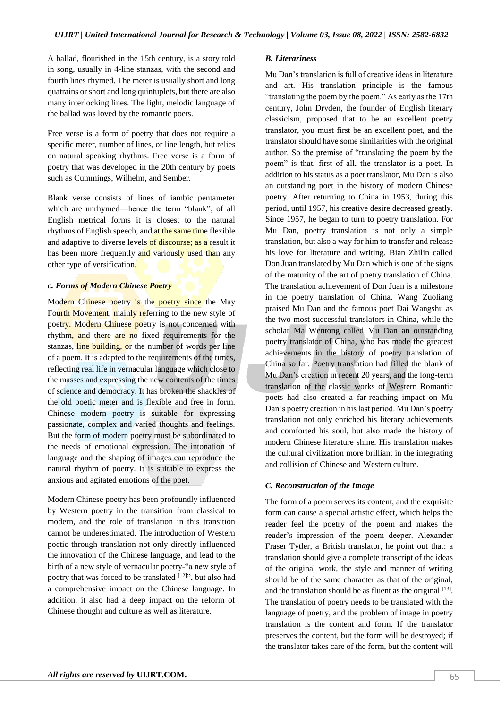A ballad, flourished in the 15th century, is a story told in song, usually in 4-line stanzas, with the second and fourth lines rhymed. The meter is usually short and long quatrains or short and long quintuplets, but there are also many interlocking lines. The light, melodic language of the ballad was loved by the romantic poets.

Free verse is a form of poetry that does not require a specific meter, number of lines, or line length, but relies on natural speaking rhythms. Free verse is a form of poetry that was developed in the 20th century by poets such as Cummings, Wilhelm, and Sember.

Blank verse consists of lines of iambic pentameter which are unrhymed—hence the term "blank", of all English metrical forms it is closest to the natural rhythms of English speech, and at the same time flexible and adaptive to diverse levels of discourse; as a result it has been more frequently and variously used than any other type of versification.

# *c. Forms of Modern Chinese Poetry*

Modern Chinese poetry is the poetry since the May Fourth Movement, mainly referring to the new style of poetry. Modern Chinese poetry is not concerned with rhythm, and there are no fixed requirements for the stanzas, line building, or the number of words per line of a poem. It is adapted to the requirements of the times, reflecting real life in vernacular language which close to the masses and expressing the new contents of the times of science and democracy. It has broken the shackles of the old poetic meter and is flexible and free in form. Chinese modern poetry is suitable for expressing passionate, complex and varied thoughts and feelings. But the form of modern poetry must be subordinated to the needs of emotional expression. The intonation of language and the shaping of images can reproduce the natural rhythm of poetry. It is suitable to express the anxious and agitated emotions of the poet.

Modern Chinese poetry has been profoundly influenced by Western poetry in the transition from classical to modern, and the role of translation in this transition cannot be underestimated. The introduction of Western poetic through translation not only directly influenced the innovation of the Chinese language, and lead to the birth of a new style of vernacular poetry-"a new style of poetry that was forced to be translated [12]", but also had a comprehensive impact on the Chinese language. In addition, it also had a deep impact on the reform of Chinese thought and culture as well as literature.

#### *B. Literariness*

Mu Dan's translation is full of creative ideas in literature and art. His translation principle is the famous "translating the poem by the poem." As early as the 17th century, John Dryden, the founder of English literary classicism, proposed that to be an excellent poetry translator, you must first be an excellent poet, and the translator should have some similarities with the original author. So the premise of "translating the poem by the poem" is that, first of all, the translator is a poet. In addition to his status as a poet translator, Mu Dan is also an outstanding poet in the history of modern Chinese poetry. After returning to China in 1953, during this period, until 1957, his creative desire decreased greatly. Since 1957, he began to turn to poetry translation. For Mu Dan, poetry translation is not only a simple translation, but also a way for him to transfer and release his love for literature and writing. Bian Zhilin called Don Juan translated by Mu Dan which is one of the signs of the maturity of the art of poetry translation of China. The translation achievement of Don Juan is a milestone in the poetry translation of China. Wang Zuoliang praised Mu Dan and the famous poet Dai Wangshu as the two most successful translators in China, while the scholar Ma Wentong called Mu Dan an outstanding poetry translator of China, who has made the greatest achievements in the history of poetry translation of China so far. Poetry translation had filled the blank of Mu Dan's creation in recent 20 years, and the long-term translation of the classic works of Western Romantic poets had also created a far-reaching impact on Mu Dan's poetry creation in his last period. Mu Dan's poetry translation not only enriched his literary achievements and comforted his soul, but also made the history of modern Chinese literature shine. His translation makes the cultural civilization more brilliant in the integrating and collision of Chinese and Western culture.

## *C. Reconstruction of the Image*

The form of a poem serves its content, and the exquisite form can cause a special artistic effect, which helps the reader feel the poetry of the poem and makes the reader's impression of the poem deeper. Alexander Fraser Tytler, a British translator, he point out that: a translation should give a complete transcript of the ideas of the original work, the style and manner of writing should be of the same character as that of the original, and the translation should be as fluent as the original  $[13]$ . The translation of poetry needs to be translated with the language of poetry, and the problem of image in poetry translation is the content and form. If the translator preserves the content, but the form will be destroyed; if the translator takes care of the form, but the content will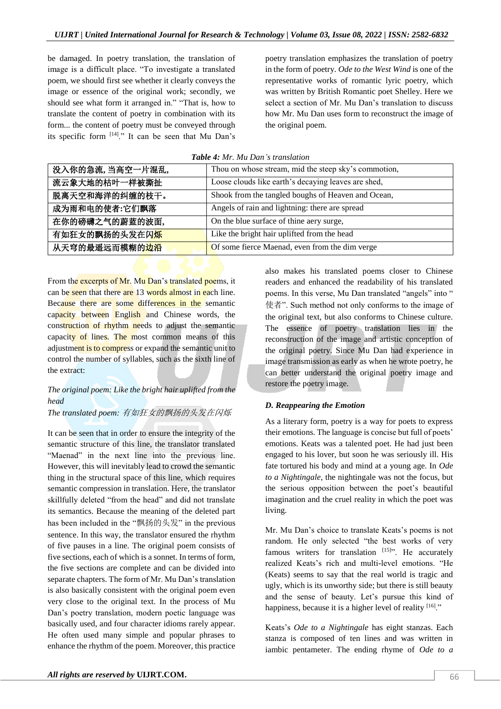be damaged. In poetry translation, the translation of image is a difficult place. "To investigate a translated poem, we should first see whether it clearly conveys the image or essence of the original work; secondly, we should see what form it arranged in." "That is, how to translate the content of poetry in combination with its form... the content of poetry must be conveyed through its specific form [14]." It can be seen that Mu Dan's

poetry translation emphasizes the translation of poetry in the form of poetry. *Ode to the West Wind* is one of the representative works of romantic lyric poetry, which was written by British Romantic poet Shelley. Here we select a section of Mr. Mu Dan's translation to discuss how Mr. Mu Dan uses form to reconstruct the image of the original poem.

| 没入你的急流,当高空一片混乱,             | Thou on whose stream, mid the steep sky's commotion, |
|-----------------------------|------------------------------------------------------|
| 流云象大地的枯叶一样被撕扯               | Loose clouds like earth's decaying leaves are shed,  |
| 脱离天空和海洋的纠缠的枝干。              | Shook from the tangled boughs of Heaven and Ocean,   |
| 成为雨和电的使者:它们飘落               | Angels of rain and lightning: there are spread       |
| 在你的磅礴之气的蔚蓝的波面,              | On the blue surface of thine aery surge,             |
| 有如狂女的飘扬的头发在闪 <mark>烁</mark> | Like the bright hair uplifted from the head          |
| 从天穹的最遥远而模糊的 <mark>边沿</mark> | Of some fierce Maenad, even from the dim verge       |

#### *Table 4: Mr. Mu Dan's translation*

From the excerpts of Mr. Mu Dan's translated poems, it can be seen that there are 13 words almost in each line. Because there are some differences in the semantic capacity between English and Chinese words, the construction of rhythm needs to adjust the semantic capacity of lines. The most common means of this adjustment is to compress or expand the semantic unit to control the number of syllables, such as the sixth line of the extract:

# *The original poem: Like the bright hair uplifted from the head*

# *The translated poem:* 有如狂女的飘扬的头发在闪烁

It can be seen that in order to ensure the integrity of the semantic structure of this line, the translator translated "Maenad" in the next line into the previous line. However, this will inevitably lead to crowd the semantic thing in the structural space of this line, which requires semantic compression in translation. Here, the translator skillfully deleted "from the head" and did not translate its semantics. Because the meaning of the deleted part has been included in the "飘扬的头发" in the previous sentence. In this way, the translator ensured the rhythm of five pauses in a line. The original poem consists of five sections, each of which is a sonnet. In terms of form, the five sections are complete and can be divided into separate chapters. The form of Mr. Mu Dan's translation is also basically consistent with the original poem even very close to the original text. In the process of Mu Dan's poetry translation, modern poetic language was basically used, and four character idioms rarely appear. He often used many simple and popular phrases to enhance the rhythm of the poem. Moreover, this practice

also makes his translated poems closer to Chinese readers and enhanced the readability of his translated poems. In this verse, Mu Dan translated "angels" into " 使者". Such method not only conforms to the image of the original text, but also conforms to Chinese culture. The essence of poetry translation lies in the reconstruction of the image and artistic conception of the original poetry. Since Mu Dan had experience in image transmission as early as when he wrote poetry, he can better understand the original poetry image and restore the poetry image.

## *D. Reappearing the Emotion*

As a literary form, poetry is a way for poets to express their emotions. The language is concise but full of poets' emotions. Keats was a talented poet. He had just been engaged to his lover, but soon he was seriously ill. His fate tortured his body and mind at a young age. In *Ode to a Nightingale*, the nightingale was not the focus, but the serious opposition between the poet's beautiful imagination and the cruel reality in which the poet was living.

Mr. Mu Dan's choice to translate Keats's poems is not random. He only selected "the best works of very famous writers for translation  $[15]$ ". He accurately realized Keats's rich and multi-level emotions. "He (Keats) seems to say that the real world is tragic and ugly, which is its unworthy side; but there is still beauty and the sense of beauty. Let's pursue this kind of happiness, because it is a higher level of reality  $[16]$ ."

Keats's *Ode to a Nightingale* has eight stanzas. Each stanza is composed of ten lines and was written in iambic pentameter. The ending rhyme of *Ode to a*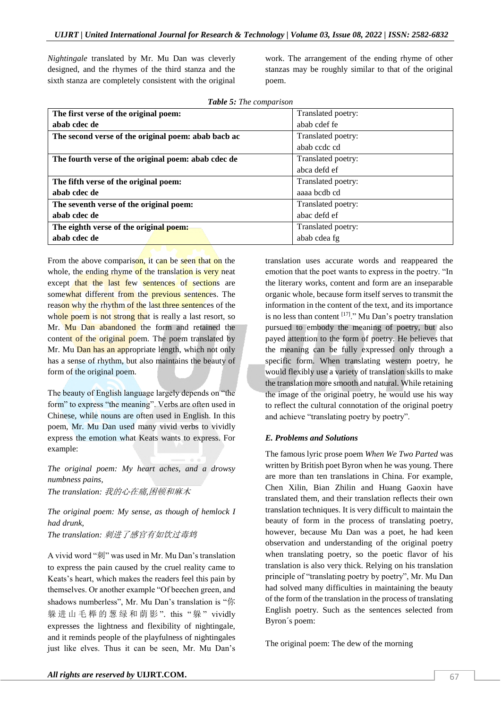*Nightingale* translated by Mr. Mu Dan was cleverly designed, and the rhymes of the third stanza and the sixth stanza are completely consistent with the original

work. The arrangement of the ending rhyme of other stanzas may be roughly similar to that of the original poem.

| <b>Table 5:</b> The comparison                      |                    |  |
|-----------------------------------------------------|--------------------|--|
| The first verse of the original poem:               | Translated poetry: |  |
| abab cdec de                                        | abab cdef fe       |  |
| The second verse of the original poem: abab bacb ac | Translated poetry: |  |
|                                                     | abab ccdc cd       |  |
| The fourth verse of the original poem: abab cdec de | Translated poetry: |  |
|                                                     | abca defd ef       |  |
| The fifth verse of the original poem:               | Translated poetry: |  |
| abab cdec de                                        | aaaa bcdb cd       |  |
| The seventh verse of the original poem:             | Translated poetry: |  |
| abab cdec de                                        | abac defd ef       |  |
| The eighth verse of the original poem:              | Translated poetry: |  |
| abab cdec de                                        | abab cdea fg       |  |

From the above comparison, it can be seen that on the whole, the ending rhyme of the translation is very neat except that the last few sentences of sections are somewhat different from the previous sentences. The reason why the rhythm of the last three sentences of the whole poem is not strong that is really a last resort, so Mr. Mu Dan abandoned the form and retained the content of the original poem. The poem translated by Mr. Mu Dan has an appropriate length, which not only has a sense of rhythm, but also maintains the beauty of form of the original poem.

The beauty of English language largely depends on "the form" to express "the meaning". Verbs are often used in Chinese, while nouns are often used in English. In this poem, Mr. Mu Dan used many vivid verbs to vividly express the emotion what Keats wants to express. For example:

*The original poem: My heart aches, and a drowsy numbness pains, The translation:* 我的心在痛*,*困顿和麻木

*The original poem: My sense, as though of hemlock I had drunk,* 

*The translation:* 刺进了感官有如饮过毒鸩

A vivid word "刺" was used in Mr. Mu Dan's translation to express the pain caused by the cruel reality came to Keats's heart, which makes the readers feel this pain by themselves. Or another example "Of beechen green, and shadows numberless", Mr. Mu Dan's translation is "你 躲进山毛榉的葱绿和荫影". this "躲" vividly expresses the lightness and flexibility of nightingale, and it reminds people of the playfulness of nightingales just like elves. Thus it can be seen, Mr. Mu Dan's translation uses accurate words and reappeared the emotion that the poet wants to express in the poetry. "In the literary works, content and form are an inseparable organic whole, because form itself serves to transmit the information in the content of the text, and its importance is no less than content  $[17]$ ." Mu Dan's poetry translation pursued to embody the meaning of poetry, but also payed attention to the form of poetry. He believes that the meaning can be fully expressed only through a specific form. When translating western poetry, he would flexibly use a variety of translation skills to make the translation more smooth and natural. While retaining the image of the original poetry, he would use his way to reflect the cultural connotation of the original poetry and achieve "translating poetry by poetry".

#### *E. Problems and Solutions*

The famous lyric prose poem *When We Two Parted* was written by British poet Byron when he was young. There are more than ten translations in China. For example, Chen Xilin, Bian Zhilin and Huang Gaoxin have translated them, and their translation reflects their own translation techniques. It is very difficult to maintain the beauty of form in the process of translating poetry, however, because Mu Dan was a poet, he had keen observation and understanding of the original poetry when translating poetry, so the poetic flavor of his translation is also very thick. Relying on his translation principle of "translating poetry by poetry", Mr. Mu Dan had solved many difficulties in maintaining the beauty of the form of the translation in the process of translating English poetry. Such as the sentences selected from Byron´s poem:

The original poem: The dew of the morning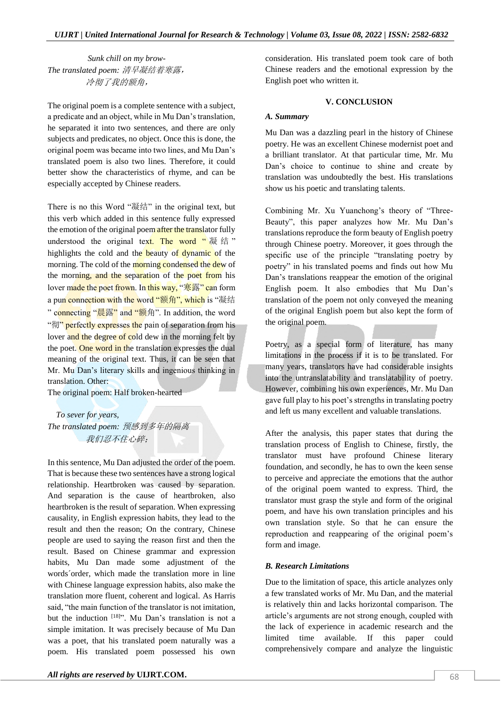*Sunk chill on my brow-The translated poem:* 清早凝结着寒露, 冷彻了我的额角,

The original poem is a complete sentence with a subject, a predicate and an object, while in Mu Dan's translation, he separated it into two sentences, and there are only subjects and predicates, no object. Once this is done, the original poem was became into two lines, and Mu Dan's translated poem is also two lines. Therefore, it could better show the characteristics of rhyme, and can be especially accepted by Chinese readers.

There is no this Word "凝结" in the original text, but this verb which added in this sentence fully expressed the emotion of the original poem after the translator fully understood the original text. The word " $\frac{1}{N}$   $\frac{1}{N}$   $\frac{1}{N}$ " highlights the cold and the beauty of dynamic of the morning. The cold of the morning condensed the dew of the morning, and the separation of the poet from his lover made the poet frown. In this way, "寒露" can form a pun connection with the word "额角", which is "凝结 " connecting "晨露" and "额角". In addition, the word "彻" perfectly expresses the pain of separation from his lover and the degree of cold dew in the morning felt by the poet. One word in the translation expresses the dual meaning of the original text. Thus, it can be seen that Mr. Mu Dan's literary skills and ingenious thinking in translation. Other:

The original poem: Half broken-hearted

 *To sever for years, The translated poem:* 预感到多年的隔离 我们忍不住心碎;

In this sentence, Mu Dan adjusted the order of the poem. That is because these two sentences have a strong logical relationship. Heartbroken was caused by separation. And separation is the cause of heartbroken, also heartbroken is the result of separation. When expressing causality, in English expression habits, they lead to the result and then the reason; On the contrary, Chinese people are used to saying the reason first and then the result. Based on Chinese grammar and expression habits. Mu Dan made some adjustment of the words´order, which made the translation more in line with Chinese language expression habits, also make the translation more fluent, coherent and logical. As Harris said, "the main function of the translator is not imitation, but the induction [18]<sup>3</sup>. Mu Dan's translation is not a simple imitation. It was precisely because of Mu Dan was a poet, that his translated poem naturally was a poem. His translated poem possessed his own

consideration. His translated poem took care of both Chinese readers and the emotional expression by the English poet who written it.

#### **V. CONCLUSION**

#### *A. Summary*

Mu Dan was a dazzling pearl in the history of Chinese poetry. He was an excellent Chinese modernist poet and a brilliant translator. At that particular time, Mr. Mu Dan's choice to continue to shine and create by translation was undoubtedly the best. His translations show us his poetic and translating talents.

Combining Mr. Xu Yuanchong's theory of "Three-Beauty", this paper analyzes how Mr. Mu Dan's translations reproduce the form beauty of English poetry through Chinese poetry. Moreover, it goes through the specific use of the principle "translating poetry by poetry" in his translated poems and finds out how Mu Dan's translations reappear the emotion of the original English poem. It also embodies that Mu Dan's translation of the poem not only conveyed the meaning of the original English poem but also kept the form of the original poem.

Poetry, as a special form of literature, has many limitations in the process if it is to be translated. For many years, translators have had considerable insights into the untranslatability and translatability of poetry. However, combining his own experiences, Mr. Mu Dan gave full play to his poet's strengths in translating poetry and left us many excellent and valuable translations.

After the analysis, this paper states that during the translation process of English to Chinese, firstly, the translator must have profound Chinese literary foundation, and secondly, he has to own the keen sense to perceive and appreciate the emotions that the author of the original poem wanted to express. Third, the translator must grasp the style and form of the original poem, and have his own translation principles and his own translation style. So that he can ensure the reproduction and reappearing of the original poem's form and image.

#### *B. Research Limitations*

Due to the limitation of space, this article analyzes only a few translated works of Mr. Mu Dan, and the material is relatively thin and lacks horizontal comparison. The article's arguments are not strong enough, coupled with the lack of experience in academic research and the limited time available. If this paper could comprehensively compare and analyze the linguistic